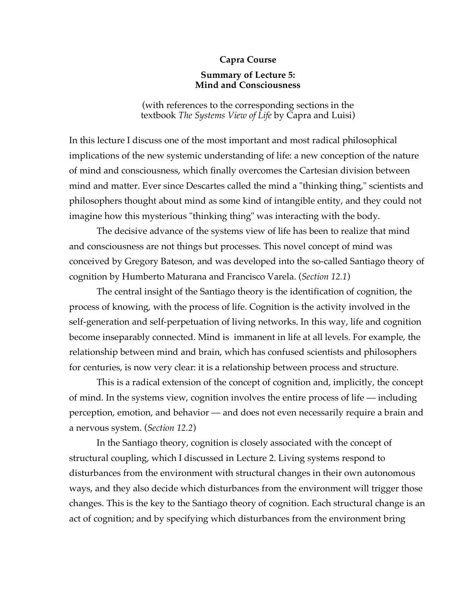## **Capra Course**

## **Summary of Lecture 5: Mind and Consciousness**

(with references to the corresponding sections in the textbook *The Systems View of Life* by Capra and Luisi)

In this lecture I discuss one of the most important and most radical philosophical implications of the new systemic understanding of life: a new conception of the nature of mind and consciousness, which finally overcomes the Cartesian division between mind and matter. Ever since Descartes called the mind a "thinking thing," scientists and philosophers thought about mind as some kind of intangible entity, and they could not imagine how this mysterious "thinking thing" was interacting with the body.

The decisive advance of the systems view of life has been to realize that mind and consciousness are not things but processes. This novel concept of mind was conceived by Gregory Bateson, and was developed into the so-called Santiago theory of cognition by Humberto Maturana and Francisco Varela. (*Section 12.1*)

The central insight of the Santiago theory is the identification of cognition, the process of knowing, with the process of life. Cognition is the activity involved in the self-generation and self-perpetuation of living networks. In this way, life and cognition become inseparably connected. Mind is immanent in life at all levels. For example, the relationship between mind and brain, which has confused scientists and philosophers for centuries, is now very clear: it is a relationship between process and structure.

This is a radical extension of the concept of cognition and, implicitly, the concept of mind. In the systems view, cognition involves the entire process of life — including perception, emotion, and behavior — and does not even necessarily require a brain and a nervous system. (*Section 12.2*)

In the Santiago theory, cognition is closely associated with the concept of structural coupling, which I discussed in Lecture 2. Living systems respond to disturbances from the environment with structural changes in their own autonomous ways, and they also decide which disturbances from the environment will trigger those changes. This is the key to the Santiago theory of cognition. Each structural change is an act of cognition; and by specifying which disturbances from the environment bring